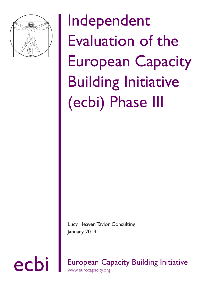

Independent Evaluation of the European Capacity Building Initiative (ecbi) Phase III

Lucy Heaven Taylor Consulting January 2014

ecbi European Capacity Building Initiative www.eurocapacity.org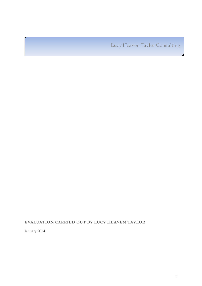Lucy Heaven Taylor Consulting

# **EVALUATION CARRIED OUT BY LUCY HEAVEN TAYLOR**

January 2014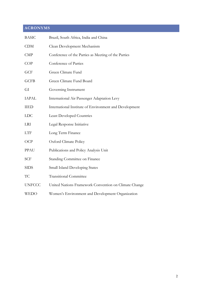# **ACRONYMS**

| <b>BASIC</b>  | Brazil, South Africa, India and China                  |
|---------------|--------------------------------------------------------|
| <b>CDM</b>    | Clean Development Mechanism                            |
| <b>CMP</b>    | Conference of the Parties as Meeting of the Parties    |
| COP           | Conference of Parties                                  |
| GCF           | Green Climate Fund                                     |
| <b>GCFB</b>   | Green Climate Fund Board                               |
| GI            | Governing Instrument                                   |
| <b>IAPAL</b>  | International Air Passenger Adaptation Levy            |
| <b>IIED</b>   | International Institute of Environment and Development |
| <b>LDC</b>    | <b>Least Developed Countries</b>                       |
| <b>LRI</b>    | Legal Response Initiative                              |
| <b>LTF</b>    | Long Term Finance                                      |
| OCP           | Oxford Climate Policy                                  |
| PPAU          | Publications and Policy Analysis Unit                  |
| <b>SCF</b>    | Standing Committee on Finance                          |
| <b>SIDS</b>   | Small Island Developing States                         |
| TC            | <b>Transitional Committee</b>                          |
| <b>UNFCCC</b> | United Nations Framework Convention on Climate Change  |
| <b>WEDO</b>   | Women's Environment and Development Organization       |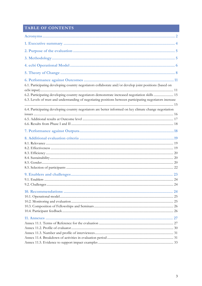# TABLE OF CONTENTS

| 6.1. Participating developing country negotiators collaborate and/or develop joint positions (based on                                                                                                       |  |
|--------------------------------------------------------------------------------------------------------------------------------------------------------------------------------------------------------------|--|
| 6.2. Participating developing country negotiators demonstrate increased negotiation skills  15<br>6.3. Levels of trust and understanding of negotiating positions between participating negotiators increase |  |
| 6.4. Participating developing country negotiators are better informed on key climate change negotiation                                                                                                      |  |
|                                                                                                                                                                                                              |  |
|                                                                                                                                                                                                              |  |
|                                                                                                                                                                                                              |  |
|                                                                                                                                                                                                              |  |
|                                                                                                                                                                                                              |  |
|                                                                                                                                                                                                              |  |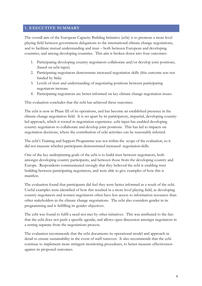#### **1. EXECUTIVE SUMMARY**

The overall aim of the European Capacity Building Initiative (ecbi) is to promote a more level playing field between government delegations to the international climate change negotiations, and to facilitate mutual understanding and trust – both between European and developing countries, and among developing countries. This aim is broken down into four outcomes:

- 1. Participating developing country negotiators collaborate and/or develop joint positions, (based on ecbi input)
- 2. Participating negotiators demonstrate increased negotiation skills (this outcome was not funded by Sida)
- 3. Levels of trust and understanding of negotiating positions between participating negotiators increase
- 4. Participating negotiators are better informed on key climate change negotiation issues.

This evaluation concludes that the ecbi has achieved these outcomes.

The ecbi is now in Phase III of its operations, and has become an established presence in the climate change negotiation field. It is set apart by its participatory, impartial, developing countryled approach, which is rooted in negotiation experience. ecbi input has enabled developing country negotiators to collaborate and develop joint positions. This has led to impacts on negotiation decisions, where the contribution of ecbi activities can be reasonably inferred.

The ecbi's Training and Support Programme was not within the scope of the evaluation, so it did not measure whether participants demonstrated increased negotiation skills.

One of the key underpinning goals of the ecbi is to build trust between negotiators, both amongst developing country participants, and between those from the developing country and Europe. Respondents communicated strongly that they believed the ecbi is enabling trust building between participating negotiators, and were able to give examples of how this is manifest.

The evaluation found that participants did feel they were better informed as a result of the ecbi. Useful examples were identified of how this resulted in a more level playing field, as developing country negotiators and women negotiators often have less access to information resources than other stakeholders in the climate change negotiations. The ecbi also considers gender in its programming and is fulfilling its gender objectives.

The ecbi was found to fulfil a need not met by other initiatives. This was attributed to the fact that the ecbi does not push a specific agenda, and allows open discussion amongst negotiators in a setting separate from the negotiations process.

The evaluation recommends that the ecbi documents its operational model and approach in detail to ensure sustainability in the event of staff turnover. It also recommends that the ecbi continue to implement more stringent monitoring procedures, to better measure effectiveness against its proposed outcomes.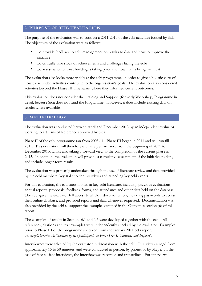## **2. PURPOSE OF THE EVALUATION**

The purpose of the evaluation was to conduct a 2011-2013 of the ecbi activities funded by Sida. The objectives of the evaluation were as follows:

- To provide feedback to ecbi management on results to date and how to improve the initiative
- To critically take stock of achievements and challenges facing the ecbi
- To assess whether trust building is taking place and how that is being manifest

The evaluation also looks more widely at the ecbi programme, in order to give a holistic view of how Sida-funded activities contribute to the organisation's goals. The evaluation also considered activities beyond the Phase III timeframe, where they informed current outcomes.

This evaluation does not consider the Training and Support (formerly Workshop) Programme in detail, because Sida does not fund the Programme. However, it does include existing data on results where available.

#### **3. METHODOLOGY**

The evaluation was conducted between April and December 2013 by an independent evaluator, working to a Terms of Reference approved by Sida.

Phase II of the ecbi programme ran from 2008-11. Phase III began in 2011 and will run till 2015. This evaluation will therefore examine performance from the beginning of 2011 to December 2013, whilst also taking a forward view to the completion of the current phase in 2015. In addition, the evaluation will provide a cumulative assessment of the initiative to date, and include longer-term results.

The evaluation was primarily undertaken through the use of literature review and data provided by the ecbi members, key stakeholder interviews and attending key ecbi events.

For this evaluation, the evaluator looked at key ecbi literature, including previous evaluations, annual reports, proposals, feedback forms, and attendance and other data held on the database. The ecbi gave the evaluator full access to all their documentation, including passwords to access their online database, and provided reports and data whenever requested. Documentation was also provided by the ecbi to support the examples outlined in the Outcomes section (6) of this report.

The examples of results in Sections 6.1 and 6.5 were developed together with the ecbi. All references, citations and text examples were independently checked by the evaluator. Examples prior to Phase III of the programme are taken from the January 2011 ecbi report '*Accomplishments: Testimonials by ecbi participants on Phase I & II Outcomes and Impacts*'.

Interviewees were selected by the evaluator in discussion with the ecbi. Interviews ranged from approximately 15 to 50 minutes, and were conducted in person, by phone, or by Skype. In the case of face-to-face interviews, the interview was recorded and transcribed. For interviews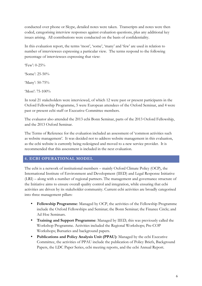conducted over phone or Skype, detailed notes were taken. Transcripts and notes were then coded, categorising interview responses against evaluation questions, plus any additional key issues arising. All contributions were conducted on the basis of confidentiality.

In this evaluation report, the terms 'most', 'some', 'many' and 'few' are used in relation to number of interviewees expressing a particular view. The terms respond to the following percentage of interviewees expressing that view:

'Few': 0-25% 'Some': 25-50% 'Many': 50-75%

'Most': 75-100%

In total 21 stakeholders were interviewed, of which 12 were past or present participants in the Oxford Fellowship Programme, 5 were European attendees of the Oxford Seminar, and 4 were past or present ecbi staff or Executive Committee members.

The evaluator also attended the 2013 ecbi Bonn Seminar, parts of the 2013 Oxford Fellowship, and the 2013 Oxford Seminar.

The Terms of Reference for the evaluation included an assessment of 'common activities such as website management'. It was decided not to address website management in this evaluation, as the ecbi website is currently being redesigned and moved to a new service provider. It is recommended that this assessment is included in the next evaluation.

# **4. ECBI OPERATIONAL MODEL**

The ecbi is a network of institutional members – mainly Oxford Climate Policy (OCP), the International Institute of Environment and Development (IIED) and Legal Response Initiative (LRI) – along with a number of regional partners. The management and governance structure of the Initiative aims to ensure overall quality control and integration, while ensuring that ecbi activities are driven by its stakeholder community. Current ecbi activities are broadly categorised into three management pillars:

- **Fellowship Programme**: Managed by OCP, the activities of the Fellowship Programme include the Oxford Fellowships and Seminar; the Bonn Seminar; the Finance Circle; and Ad Hoc Seminars.
- **Training and Support Programme**: Managed by IIED, this was previously called the Workshop Programme. Activities included the Regional Workshops; Pre-COP Workshops; Bursaries and background papers.
- **Publications and Policy Analysis Unit (PPAU)**: Managed by the ecbi Executive Committee, the activities of PPAU include the publication of Policy Briefs, Background Papers, the LDC Paper Series, ecbi meeting reports, and the ecbi Annual Report.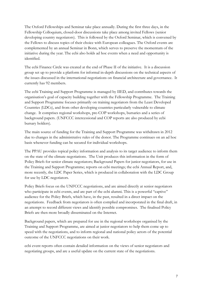The Oxford Fellowships and Seminar take place annually. During the first three days, in the Fellowship Colloquium, closed-door discussions take place among invited Fellows (senior developing country negotiators). This is followed by the Oxford Seminar, which is convened by the Fellows to discuss topics of their choice with European colleagues. The Oxford events are complemented by an annual Seminar in Bonn, which serves to preserve the momentum of the initiative during the year. The ecbi also holds ad hoc events when a need and opportunity is identified.

The ecbi Finance Circle was created at the end of Phase II of the initiative. It is a discussion group set up to provide a platform for informal in-depth discussions on the technical aspects of the issues discussed in the international negotiations on financial architecture and governance. It currently has 92 members.

The ecbi Training and Support Programme is managed by IIED, and contributes towards the organisation's goal of capacity building together with the Fellowship Programme. The Training and Support Programme focuses primarily on training negotiators from the Least Developed Countries (LDCs), and from other developing countries particularly vulnerable to climate change. It comprises regional workshops, pre-COP workshops, bursaries and a series of background papers. (UNFCCC intercessional and COP reports are also produced by ecbi bursary holders).

The main source of funding for the Training and Support Programme was withdrawn in 2012 due to changes in the administrative rules of the donor. The Programme continues on an ad hoc basis whenever funding can be secured for individual workshops.

The PPAU provides topical policy information and analysis to its target audience to inform them on the state of the climate negotiations. The Unit produces this information in the form of Policy Briefs for senior climate negotiators; Background Papers for junior negotiators, for use in the Training and Support Programme; reports on ecbi meetings; the ecbi Annual Report, and, more recently, the LDC Paper Series, which is produced in collaboration with the LDC Group for use by LDC negotiators.

Policy Briefs focus on the UNFCCC negotiations, and are aimed directly at senior negotiators who participate in ecbi events, and are part of the ecbi alumni. This is a powerful "captive" audience for the Policy Briefs, which have, in the past, resulted in a direct impact on the negotiations. Feedback from negotiators is often complied and incorporated in the final draft, in an attempt to record different views and identify possible compromises. The finalised Policy Briefs are then more broadly disseminated on the Internet.

Background papers, which are prepared for use in the regional workshops organised by the Training and Support Programme, are aimed at junior negotiators to help them come up to speed with the negotiations, and to inform regional and national policy actors of the potential outcome of the UNFCCC negotiations on their work.

ecbi event reports often contain detailed information on the views of senior negotiators and negotiating groups, and are a useful update on the current state of the negotiations.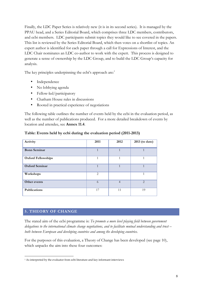Finally, the LDC Paper Series is relatively new (it is in its second series). It is managed by the PPAU head, and a Series Editorial Board, which comprises three LDC members, contributors, and ecbi members. LDC participants submit topics they would like to see covered in the papers. This list is reviewed by the Series Editorial Board, which then votes on a shortlist of topics. An expert author is identified for each paper through a call for Expressions of Interest, and the LDC Chair nominates an LDC co-author to work with the expert. This process is designed to generate a sense of ownership by the LDC Group, and to build the LDC Group's capacity for analysis.

The key principles underpinning the ecbi's approach are:<sup>1</sup>

- Independence
- No lobbying agenda
- Fellow-led/participatory
- Chatham House rules in discussions
- Rooted in practical experience of negotiations

The following table outlines the number of events held by the ecbi in the evaluation period, as well as the number of publications produced. For a more detailed breakdown of events by location and attendee, see **Annex 11.4**.

| Activity                  | 2011           | 2012           | 2013 (to date)       |
|---------------------------|----------------|----------------|----------------------|
| <b>Bonn Seminar</b>       | $\mathbf{1}$   | $\mathbf{1}$   | $\blacktriangleleft$ |
| <b>Oxford Fellowships</b> | 1              | 1              |                      |
| <b>Oxford Seminar</b>     |                | $\mathbf{1}$   |                      |
| Workshops                 | $\overline{2}$ |                |                      |
| Other events              | 6              | $\overline{4}$ | $\overline{2}$       |
| Publications              | 17             | 11             | 19                   |

#### **Table: Events held by ecbi during the evaluation period (2011-2013)**

#### **5. THEORY OF CHANGE**

The stated aim of the ecbi programme is: *To promote a more level playing field between government delegations to the international climate change negotiations, and to facilitate mutual understanding and trust – both between European and developing countries and among the developing countries*.

For the purposes of this evaluation, a Theory of Change has been developed (see page 10), which unpacks the aim into these four outcomes:

<sup>&</sup>lt;sup>1</sup> As interpreted by the evaluator from ecbi literature and key informant interviews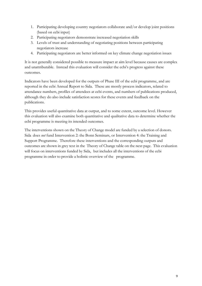- 1. Participating developing country negotiators collaborate and/or develop joint positions (based on ecbi input)
- 2. Participating negotiators demonstrate increased negotiation skills
- 3. Levels of trust and understanding of negotiating positions between participating negotiators increase
- 4. Participating negotiators are better informed on key climate change negotiation issues

It is not generally considered possible to measure impact at aim level because causes are complex and unattributable. Instead this evaluation will consider the ecbi's progress against these outcomes.

Indicators have been developed for the outputs of Phase III of the ecbi programme, and are reported in the ecbi Annual Report to Sida. These are mostly process indicators, related to attendance numbers, profiles of attendees at ecbi events, and numbers of publications produced, although they do also include satisfaction scores for these events and feedback on the publications.

This provides useful quantitative data at output, and to some extent, outcome level. However this evaluation will also examine both quantitative and qualitative data to determine whether the ecbi programme is meeting its intended outcomes*.*

The interventions shown on the Theory of Change model are funded by a selection of donors. Sida does *not* fund Intervention 2: the Bonn Seminars, or Intervention 4: the Training and Support Programme. Therefore these interventions and the corresponding outputs and outcomes are shown in grey text in the Theory of Change table on the next page. This evaluation will focus on interventions funded by Sida, but includes all the interventions of the ecbi programme in order to provide a holistic overview of the programme.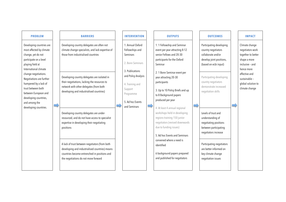| <b>PROBLEM</b>                                                                                                                                                                                                                                                                                                                                  | <b>BARRIERS</b>                                                                                                                                                                                                                                                                                                                                                                                                                                                                                                                                                                                                                                                                   | <b>INTERVENTION</b>                                                                                                                                                                                 |   | <b>OUTPUTS</b>                                                                                                                                                                                                                                                                                                                                                                                                                                                                                                                                                                                        | <b>OUTCOMES</b>                                                                                                                                                                                                                                                                                                                                                                                                                                      | <b>IMPACT</b>                                                                                                                                                                       |
|-------------------------------------------------------------------------------------------------------------------------------------------------------------------------------------------------------------------------------------------------------------------------------------------------------------------------------------------------|-----------------------------------------------------------------------------------------------------------------------------------------------------------------------------------------------------------------------------------------------------------------------------------------------------------------------------------------------------------------------------------------------------------------------------------------------------------------------------------------------------------------------------------------------------------------------------------------------------------------------------------------------------------------------------------|-----------------------------------------------------------------------------------------------------------------------------------------------------------------------------------------------------|---|-------------------------------------------------------------------------------------------------------------------------------------------------------------------------------------------------------------------------------------------------------------------------------------------------------------------------------------------------------------------------------------------------------------------------------------------------------------------------------------------------------------------------------------------------------------------------------------------------------|------------------------------------------------------------------------------------------------------------------------------------------------------------------------------------------------------------------------------------------------------------------------------------------------------------------------------------------------------------------------------------------------------------------------------------------------------|-------------------------------------------------------------------------------------------------------------------------------------------------------------------------------------|
| Developing countries are<br>most affected by climate<br>change, yet do not<br>participate on a level<br>playing field at<br>International climate<br>change negotiations.<br>Negotiations are further<br>hampered by a lack of<br>trust between both<br>between European and<br>developing countries,<br>and among the<br>developing countries. | Developing country delegates are often not<br>climate change specialists, and lack expertise of<br>those from industrialised countries<br>Developing country delegates are isolated in<br>their negotiations, lacking the resources to<br>network with other delegates (from both<br>developing and industrialised countries)<br>Developing country delegates are under-<br>resourced, and do not have access to specialist<br>expertise in developing their negotiating<br>positions<br>A lack of trust between negotiators (from both<br>developing and industrialised countries) means<br>countries become entrenched in positions and<br>the negotiations do not move forward | 1. Annual Oxford<br>Fellowships and<br><b>Seminars</b><br>2. Bonn Seminars<br>3. Publications<br>and Policy Analysis<br>4. Training and<br>Support<br>Programme<br>5. Ad hoc Events<br>and Seminars | s | 1.1 Fellowship and Seminar<br>event per year attracting 8-12<br>senior Fellows and 20-30<br>participants for the Oxford<br>Seminar<br>2. 1 Bonn Seminar event per<br>year attracting 20-30<br>participants<br>3. Up to 10 Policy Briefs and up<br>to 8 Background papers<br>produced per year<br>4. At least 4 annual regional<br>workshops held in developing<br>regions training 150 junior<br>negotiators (revised downwards<br>due to funding issues)<br>5. Ad hoc Events and Seminars<br>convened where a need is<br>identified<br>6 background papers prepared<br>and published for negotiators | Participating developing<br>country negotiators<br>collaborate and/or<br>develop joint positions,<br>(based on ecbi input)<br>Participating developing<br>country negotiators<br>demonstrate increased<br>negotiation skills<br>Levels of trust and<br>understanding of<br>negotiating positions<br>between participating<br>negotiators increase<br>Participating negotiators<br>are better informed on<br>key climate change<br>negotiation issues | Climate change<br>negotiators work<br>together to better<br>shape a more<br>inclusive - and<br>hence more<br>effective and<br>sustainable -<br>global solution to<br>climate change |
|                                                                                                                                                                                                                                                                                                                                                 |                                                                                                                                                                                                                                                                                                                                                                                                                                                                                                                                                                                                                                                                                   |                                                                                                                                                                                                     |   |                                                                                                                                                                                                                                                                                                                                                                                                                                                                                                                                                                                                       |                                                                                                                                                                                                                                                                                                                                                                                                                                                      |                                                                                                                                                                                     |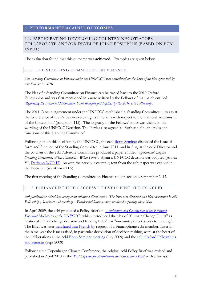# **6. PERFORMANCE AGAINST OUTCOMES**

## 6.1. PARTICIPATING DEVELOPING COUNTRY NEGOTIATORS COLLABORATE AND/OR DEVELOP JOINT POSITIONS (BASED ON ECBI INPUT)

The evaluation found that this outcome was **achieved.** Examples are given below.

#### 6.1.1. THE STANDING COMMITTEE ON FINANCE

*The Standing Committee on Finance under the UNFCCC was established on the basis of an idea generated by ecbi Fellows in 2010.*

The idea of a Standing Committee on Finance can be traced back to the 2010 Oxford Fellowships and was first mentioned in a note written by the Fellows of that batch entitled '*Reforming the Financial Mechanism: Some thoughts put together by the 2010 ecbi Fellowship*'.

The 2011 Cancun Agreement under the UNFCCC established a 'Standing Committee …to assist the Conference of the Parties in exercising its functions with respect to the financial mechanism of the Convention' (paragraph 112).The language of the Fellows' paper was visible in the wording of the UNFCCC Decision. The Parties also agreed 'to further define the roles and functions of this Standing Committee'.

Following up on this decision by the UNFCCC, the ecbi Bonn Seminar discussed the issue of form and function of the Standing Committee in June 2011, and in August the ecbi Director and the co-chair of the ecbi Advisory Committee produced a paper entitled '*Operationalizing the Standing Committee: What Functions? What Form?*. Again a UNFCCC decision was adopted (Annex VI, Decision 2/CP.17). As with the previous example, text from the ecbi paper was echoed in the Decision (see **Annex 11.5**)

The first meeting of the Standing Committee on Finance took place on 6 September 2012.

#### 6.1.2. ENHANCED DIRECT ACCESS I: DEVELOPING THE CONCEPT

*ecbi publications raised key concepts on enhanced direct access. The issue was discussed and ideas developed in ecbi Fellowships, Seminars and meetings. Further publications were produced capturing these ideas.*

In April 2009, the ecbi produced a Policy Brief on '*Architecture and Governance of the Reformed Financial Mechanism of the UNFCCC*, which introduced the idea of "Climate Change Funds" as "national climate change decision and funding hubs" for "in-country direct access to funding". The Brief was later translated into French by request of a Francophone ecbi member. Later in the same year the issues raised, in particular devolution of decision making, were at the heart of the deliberations at the ecbi Bonn Seminar meeting (July 2009) and the ecbi Oxford Fellowships and Seminar (Sept 2009)

Following the Copenhagen Climate Conference, the original ecbi Policy Brief was revised and published in April 2010 as the '*Post Copenhagen Architecture and Governance Brief*' with a focus on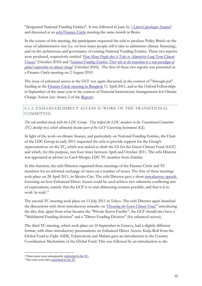"designated National Funding Entities". It was followed in June by '*A post-Copenhagen Synopsis*' and discussed at an ecbi Finance Circle meeting the same month in Bonn.

In the course of this meeting, the participants requested the ecbi to produce Policy Briefs on the issue of administrative size (i.e. on how many people will it take to administer climate financing), and on the architecture and governance of existing National Funding Entities. These two reports were produced, respectively entitled '*How Many People does it Take to Administer Long Term Climate Finance*' (October 2010) and '*National Funding Entities: Their role in the transition to a new paradigm of global cooperation on climate change*' (October 2010). The first of these two reports was presented at a Finance Circle meeting on 2 August 2010.

The issue of enhanced access at the GCF was again discussed, in the context of "through-put" funding at the Finance Circle meeting in Bangkok 11 April 2011, and at the Oxford Fellowships in September of the same year in the context of National Institutional Arrangements for Climate Change Action (see Annex 2 of the Report).

# 6.1.3. ENHANCED DIRECT ACCESS II: WORK OF THE TRANSITIONAL **COMMITTEE**

*The ecbi worked closely with the LDC Group. They helped the LDC members to the Transitional Committee (TC) develop text, which ultimately became part of the GCF Governing Instrument (GI).*

In light of the work on climate finance, and particularly on National Funding Entities, the Chair of the LDC Group in early 2011 requested the ecbi to provide support for the Group's representatives on the TC, which was tasked to draft the GI for the Green Climate Fund (GCF) and which, for this purpose, met four times between April and October 2011. The ecbi Director was appointed as adviser to Carol Mwape, LDC TC member from Zambia.

In this function, the ecbi Director organised three meetings of the Finance Circle and TC members for an informal exchange of views on a number of issues. The first of these meetings took place on 28 April 2011, in Mexico City. The ecbi Director gave a short introductory speech, focussing on how Enhanced Direct Access could be used achieve two otherwise conflicting sets of expectations, namely that the GCF is to start disbursing soonest possible, and that it is to work 'at scale'.<sup>2</sup>

The second TC meeting took place on 13 July 2011 in Tokyo. The ecbi Director again launched the discussions with short introductory remarks on '*Dissecting the Green Climate Fund*,'3 introducing the idea that, apart from what became the "Private Sector Facility", the GCF should also have a "Multilateral Funding division" and a "Direct Funding Division" (for enhanced access).

The third TC meeting, which took place on 10 September in Geneva, had a slightly different format, with three introductory presentations on Enhanced Direct Access. Katja Roll from the Global Fund to Fight AIDS, Tuberculosis and Malaria gave an introduction to the Country Coordination Mechanism of the Global Fund. This was followed by an introduction to the

<sup>&</sup>lt;sup>2</sup> These notes were subsequently **submitted to the TC**.

<sup>&</sup>lt;sup>3</sup> The notes were later submitted to the TC.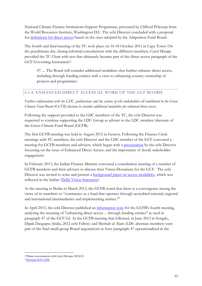National Climate Finance Institutions Support Programme, presented by Clifford Polycarp from the World Resources Institute, Washington D.C. The ecbi Director concluded with a proposal for definitions for direct access based on the ones adopted by the Adaptation Fund Board.

The fourth and final meeting of the TC took place on 16-18 October 2011 in Cape Town. On the penultimate day, during informal consultations with the different members, Carol Mwape provided the TC Chair with text that ultimately became part of the direct access paragraph of the GCF Governing Instrument<sup>4</sup>:

47. ... The Board will consider additional modalities that further enhance direct access, including through funding entities with a view to enhancing country ownership of projects and programmes.

# 6.1.4. ENHANCED DIRECT ACCESS III: WORK OF THE GCF BOARD

*Further collaboration with the LDC, publications and the actions of ecbi stakeholders all contributed to the Green Climate Fund Board (GCFB) decision to consider additional modalities for enhanced direct access.*

Following the support provided to the LDC members of the TC, the ecbi Director was requested to continue supporting the LDC Group as adviser to the LDC member/alternate of the Green Climate Fund Board (GCFB).

The first GCFB meeting was held in August 2012 in Geneva. Following the Finance Circle meetings with TC members, the ecbi Director and the LDC member of the GCF convened a meeting for GCFB members and advisers, which began with a presentation by the ecbi Director focussing on the issue of Enhanced Direct Access, and the importance of (local) stakeholder engagement.

In February 2013, the Indian Finance Ministry convened a consultation meeting of a number of GCFB members and their advisers to discuss their Vision Document for the GCF. The ecbi Director was invited to write and present a background paper on access modalities, which was reflected in the Indian 'Delhi Vision Statement'.

At the meeting in Berlin in March 2013, the GCFB noted that there is a convergence among the views of its members to "commence as a fund that operates through accredited national, regional and international intermediaries and implementing entities."5

In April 2013, the ecbi Director published an information note for the GCFB's fourth meeting, analysing the meaning of "enhancing direct access ... through funding entities" as used in paragraph 47 of the GCF GI. At the GCFB meeting that followed, in June 2013 in Songdo, Dipak Dasgupta (India, 2012 ecbi Fellow) and Mesbah ul Alam (LDC alternate member) were part of the final small-group Board negotiations to have paragraph 47 operationalised in the

 <sup>4</sup> Phone conversation with Carol Mwape 19/12/13

<sup>5</sup> Decision B.01-13/06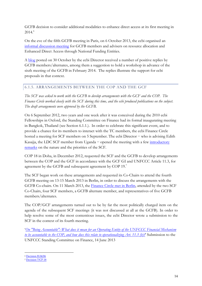GCFB decision to consider additional modalities to enhance direct access at its first meeting in  $2014.<sup>6</sup>$ 

On the eve of the fifth GCFB meeting in Paris, on 6 October 2013, the ecbi organised an informal discussion meeting for GCFB members and advisers on resource allocation and Enhanced Direct Access through National Funding Entities.

A blog posted on 30 October by the ecbi Director received a number of positive replies by GCFB members/alternates, among them a suggestion to hold a workshop in advance of the sixth meeting of the GCFB in February 2014. The replies illustrate the support for ecbi proposals in that context.

# 6.1.5. ARRANGEMENTS BETWEEN THE COP AND THE GCF

*The SCF was asked to work with the GCFB to develop arrangements with the GCF and the COP. The Finance Circle worked closely with the SCF during this time, and the ecbi produced publications on the subject. The draft arrangements were approved by the GCFB.*

On 6 September 2012, two years and one week after it was conceived during the 2010 ecbi Fellowships in Oxford, the Standing Committee on Finance had its formal inaugurating meeting in Bangkok, Thailand (see Section 6.1.1.). In order to celebrate this significant event, and to provide a chance for its members to interact with the TC members, the ecbi Finance Circle hosted a meeting for SCF members on 5 September. The ecbi Director − who is advising Edith Kasajja, the LDC SCF member from Uganda − opened the meeting with a few introductory remarks on the nature and the priorities of the SCF.

COP 18 in Doha, in December 2012, requested the SCF and the GCFB to develop arrangements between the COP and the GCF in accordance with the GCF GI and UNFCCC Article 11.3, for agreement by the GCFB and subsequent agreement by COP 19.<sup>7</sup>

The SCF began work on these arrangements and requested its Co-Chairs to attend the fourth GCFB meeting on 13-15 March 2013 in Berlin, in order to discuss the arrangements with the GCFB Co-chairs. On 11 March 2013, the Finance Circle met in Berlin, attended by the two SCF Co-Chairs, four SCF members, a GCFB alternate member, and representatives of five GCFB members/alternates.

The COP/GCF arrangements turned out to be by far the most politically charged item on the agenda of the subsequent SCF meetings (it was not discussed at all at the GCFB). In order to help resolve some of the most contentious issues, the ecbi Director wrote a submission to the SCF in the context of its fourth meeting.

'*On "Being Accountable": What does it mean for an Operating Entity of the UNFCCC Financial Mechanism to be accountable to the COP, and how does this relate to operationalizing Art. 11.3 (b)?*' Submission to the UNFCCC Standing Committee on Finance, 14 June 2013

 <sup>6</sup> Decision B.04/06

<sup>7</sup> Decision 7/CP.18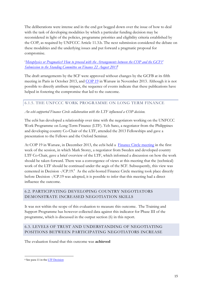The deliberations were intense and in the end got bogged down over the issue of how to deal with the task of developing modalities by which a particular funding decision may be reconsidered in light of the policies, programme priorities and eligibility criteria established by the COP, as required by UNFCCC Article 11.3.b. The next submission considered the debate on these modalities and the underlying issues and put forward a pragmatic proposal for compromise.

#### '*Metaphysics or Pragmatics? How to proceed with the Arrangements between the COP and the GCF?' Submission to the Standing Committee on Finance 22 August 2013*'

The draft arrangements by the SCF were approved without changes by the GCFB at its fifth meeting in Paris in October 2013, and COP 19 in Warsaw in November 2013. Although it is not possible to directly attribute impact, the sequence of events indicate that these publications have helped in fostering the compromise that led to the outcome.

# 6.1.5. THE UNFCCC WORK PROGRAMME ON LONG TERM FINANCE

#### *An ecbi-supported Finance Circle collaboration with the LTF influenced a COP decision.*

The ecbi has developed a relationship over time with the negotiators working on the UNFCCC Work Programme on Long-Term Finance (LTF). Yeb Sano, a negotiator from the Philippines and developing country Co-Chair of the LTF, attended the 2013 Fellowships and gave a presentation to the Fellows and the Oxford Seminar.

At COP 19 in Warsaw, in December 2013, the ecbi held a Finance Circle meeting in the first week of the session, in which Mark Storey, a negotiator from Sweden and developed country LTF Co-Chair, gave a brief overview of the LTF, which informed a discussion on how the work should be taken forward. There was a convergence of views at this meeting that the (technical) work of the LTF should be continued under the aegis of the SCF. Subsequently, this view was cemented in Decision -/CP.19.<sup>8</sup> As the ecbi-hosted Finance Circle meeting took place directly before Decision -/CP.19 was adopted, it is possible to infer that this meeting had a direct influence the outcome.

# 6.2. PARTICIPATING DEVELOPING COUNTRY NEGOTIATORS DEMONSTRATE INCREASED NEGOTIATION SKILLS

It was not within the scope of this evaluation to measure this outcome. The Training and Support Programme has however collected data against this indicator for Phase III of the programme, which is discussed in the output section (6) in this report.

# 6.3. LEVELS OF TRUST AND UNDERSTANDING OF NEGOTIATING POSITIONS BETWEEN PARTICIPATING NEGOTIATORS INCREASE

The evaluation found that this outcome was **achieved**

 <sup>8</sup> See para 11 in the LTF Decision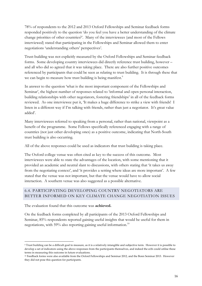78% of respondents to the 2012 and 2013 Oxford Fellowships and Seminar feedback forms responded positively to the question 'do you feel you have a better understanding of the climate change priorities of other countries?'. Many of the interviewees (and most of the Fellows interviewed) stated that participating in the Fellowships and Seminar allowed them to enter negotiations 'understanding others' perspectives'.

Trust-building was not explicitly measured by the Oxford Fellowships and Seminar feedback forms. Some developing country interviewees did directly reference trust building, however – and all who did so agreed that it was taking place. There are also further positive outcomes referenced by participants that could be seen as relating to trust building. It is through these that we can begin to measure how trust building is being manifest.<sup>9</sup>

In answer to the question 'what is the most important component of the Fellowships and Seminar', the highest number of responses related to 'informal and open personal interaction, building relationships with other negotiators, fostering friendships' in all of the feedback forms reviewed. As one interviewee put it, 'It makes a huge difference to strike a view with friends! I listen in a different way if I'm talking with friends, rather than just a negotiator. It's great value added'.

Many interviewees referred to speaking from a personal, rather than national, viewpoint as a benefit of the programme. Some Fellows specifically referenced engaging with a range of countries (not just other developing ones) as a positive outcome, indicating that North-South trust building is also occurring.

All of the above responses could be used as indicators that trust building is taking place.

The Oxford college venue was often cited as key to the success of this outcome. Most interviewees were able to state the advantages of the location, with some mentioning that it provided an academic and neutral slant to discussions, with others stating that 'it takes us away from the negotiating context', and 'it provides a setting where ideas are more important'. A few stated that the venue was not important, but that the venue would have to allow social interaction. A southern venue was also suggested as a possible alternative.

# 6.4. PARTICIPATING DEVELOPING COUNTRY NEGOTIATORS ARE BETTER INFORMED ON KEY CLIMATE CHANGE NEGOTIATION ISSUES

The evaluation found that this outcome was **achieved.**

On the feedback forms completed by all participants of the 2013 Oxford Fellowships and Seminar, 85% respondents reported gaining useful insights that would be useful for them in negotiations, with 59% also reporting gaining useful information.<sup>10</sup>

 <sup>9</sup> Trust building can be a difficult goal to measure, as it is a relatively intangible and subjective term. However it is possible to develop a set of indicators using the above responses from the participants themselves, and indeed the ecbi could utilise these terms in measuring this outcome in future evaluations.

<sup>10</sup> Feedback forms were also available from the Oxford Fellowships and Seminar 2012, and the Bonn Seminar 2013. However they did not pose this question for participants.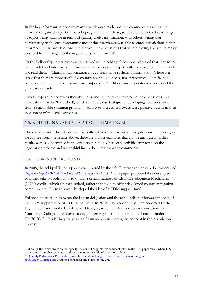In the key informant interviews, many interviewees made positive comments regarding the information gained as part of the ecbi programme. Of these, some referred to the broad range of topics being valuable in terms of gaining useful information, with others stating that participating in the ecbi programme meant the interviewee was able to enter negotiations better informed. In the words of one interviewee, 'the discussions that we are having today puts me up to speed for jumping into the negotiations well informed'.

Of the Fellowship interviewees who referred to the ecbi's publications, all stated that they found them useful and informative. European interviewees were spilt, with some saying that they did not read them – 'Managing information flow, I feel I have sufficient information. There is a sense that they are more useful for countries with less access, fewer resources. I am from a country where there's a lot [of information] on offer'. Other European interviewees found the publications useful.

Two European interviewees thought that some of the topics covered in the discussions and publications can be 'farfetched', which can 'radicalise that group [developing countries] away from a reasonable common ground'.<sup>11</sup> However these interviewees were positive overall in their assessment of the ecbi's activities.

#### 6.5. ADDITIONAL RESULTS AT OUTCOME LEVEL

The stated aims of the ecbi do not explicitly reference impact on the negotiations. However, as we can see from the results above, there are impact examples that can be attributed. Other results were also identified in the evaluation period where ecbi activities impacted on the negotiation process and wider thinking in the climate change community.

# 6.5.1. CDM SUPPORT FUND

In 2008, the ecbi published a paper co-authored by the ecbi Director and an ecbi Fellow entitled '*Implementing the Bali Action Plan: What Role for the CDM?*' The paper proposed that developed countries take on obligations to obtain a certain number of Clean Development Mechanism (CDM) credits, which are then retired, rather than used to offset developed country mitigation commitments. From this was developed the idea of a CDM support fund.

Following discussion between the Indian delegation and the ecbi, India put forward the idea of the CDM support fund at COP 18 in Doha, in 2012. The concept was then endorsed by the High Level Panel on the CDM Policy Dialogue, which put forward recommendations to a Ministerial Dialogue held later that day concerning the role of market mechanisms under the UNFCCC.<sup>12</sup> This is likely to be a significant step in furthering the concept in the negotiation process.

<sup>&</sup>lt;sup>11</sup> Although the interviewees did not specify, the context suggests this comment refers to the LDC paper series, where LDC participants themselves generate the discussion topics, as outlined in section 4 above.

<sup>&</sup>lt;sup>12</sup> 'Quantity Performance Payments by Results: Operationalizing enhanced direct access for mitigation at the Green Climate Fund', Müller, Fankhauser and Forstater July 2013.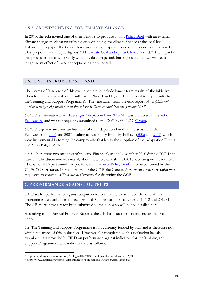## 6.5.2. CROWDFUNDING FOR CLIMATE CHANGE

In 2013, the ecbi invited one of their Fellows to produce a joint Policy Brief with an external climate change specialist on utilising 'crowdfunding' for climate finance at the local level. Following this paper, the two authors produced a proposal based on the concepts it covered. This proposal won the prestigious MIT Climate Co-Lab Popular Choice Award.<sup>13</sup> The impact of this process is not easy to verify within evaluation period, but is possible that we will see a longer-term effect of these concepts being popularised.

## 6.6. RESULTS FROM PHASE I AND II

The Terms of Reference of this evaluation are to include longer term results of the initiative. Therefore, these examples of results from Phase I and II, are also included (except results from the Training and Support Programme). They are taken from the ecbi report '*Accomplishments: Testimonials by ecbi participants on Phase I & II Outcomes and Impacts, January 2011*'.

6.6.1. The International Air Passenger Adaptation Levy (IAPAL) was discussed in the 2006 Fellowships and was subsequently submitted to the COP by the LDC Group.

6.6.2. The governance and architecture of the Adaptation Fund were discussed in the Fellowships of 2006 and 2007, leading to two Policy Briefs by Fellows (2006 and 2007) which were instrumental in forging the compromise that led to the adoption of the Adaptation Fund at CMP 7 in Bali, in 2007.

6.6.3. There were two meetings of the ecbi Finance Circle in November 2010 during COP 16 in Cancun. The discussion was mainly about how to establish the GCF, focussing on the idea of a "Transitional Expert Panel" (as put forward in an ecbi Policy  $Brie<sup>4</sup>$ ), to be convened by the UNFCCC Secretariat. In the outcome of the COP, the Cancun Agreements, the Secretariat was requested to convene a *Transitional Committee* for designing the GCF.

#### **7. PERFORMANCE AGAINST OUTPUTS**

7.1. Data for performance against output indicators for the Sida-funded element of this programme are available in the ecbi Annual Reports for financial years 2011/12 and 2012/13. These Reports have already been submitted to the donor so will not be detailed here.

According to the Annual Progress Reports, the ecbi has **met** these indicators for the evaluation period.

7.2. The Training and Support Programme is not currently funded by Sida and is therefore not within the scope of this evaluation. However, for completeness this evaluation has also examined data provided by IIED on performance against indicators for the Training and Support Programme. The indicators are as follows:

 <sup>13</sup> http://climatecolab.org/community/-/blogs/2012-2013-climate-colab-contest-winners?\_33

<sup>14</sup> http://www.oxfordclimatepolicy.org/publications/documents/FinanceAfterTianjin.pdf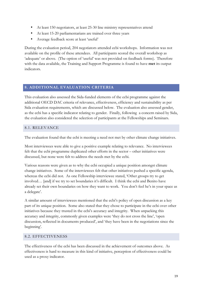- At least 150 negotiators, at least 25-30 line ministry representatives attend
- At least 15-20 parliamentarians are trained over three years
- Average feedback score at least 'useful'

During the evaluation period, 204 negotiators attended ecbi workshops. Information was not available on the profile of these attendees. All participants scored the overall workshop as 'adequate' or above. (The option of 'useful' was not provided on feedback forms). Therefore with the data available, the Training and Support Programme is found to have **met** its output indicators.

## **8. ADDITIONAL EVALUATION CRITERIA**

This evaluation also assessed the Sida-funded elements of the ecbi programme against the additional OECD DAC criteria of relevance, effectiveness, efficiency and sustainability as per Sida evaluation requirements, which are discussed below. The evaluation also assessed gender, as the ecbi has a specific indicator relating to gender. Finally, following a concern raised by Sida, the evaluation also considered the selection of participants at the Fellowships and Seminars.

#### 8.1. RELEVANCE

The evaluation found that the ecbi is meeting a need not met by other climate change initiatives.

Most interviewees were able to give a positive example relating to relevance. No interviewees felt that the ecbi programme duplicated other efforts in the sector – other initiatives were discussed, but none were felt to address the needs met by the ecbi.

Various reasons were given as to why the ecbi occupied a unique position amongst climate change initiatives. Some of the interviewees felt that other initiatives pushed a specific agenda, whereas the ecbi did not. As one Fellowship interviewee stated, 'Other groups try to get involved… [and] if we try to set boundaries it's difficult. I think the ecbi and Benito have already set their own boundaries on how they want to work. You don't feel he's in your space as a delegate'.

A similar amount of interviewees mentioned that the ecbi's policy of open discussion as a key part of its unique position. Some also stated that they chose to participate in the ecbi over other initiatives because they trusted in the ecbi's accuracy and integrity. When unpacking this accuracy and integrity, commonly given examples were 'they do not cross the line', 'open discussion, reflected in documents produced', and 'they have been in the negotiations since the beginning'.

#### 8.2. EFFECTIVENESS

The effectiveness of the ecbi has been discussed in the achievement of outcomes above. As effectiveness is hard to measure in this kind of initiative, perception of effectiveness could be used as a proxy indicator.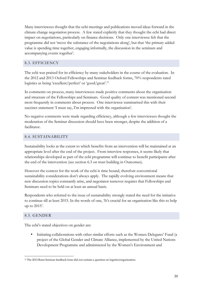Many interviewees thought that the ecbi meetings and publications moved ideas forward in the climate change negotiation process. A few stated explicitly that they thought the ecbi had direct impact on negotiations, particularly on finance decisions. Only one interviewee felt that the programme did not 'move the substance of the negotiations along', but that 'the primary added value is spending time together, engaging informally, the discussion in the seminars and accompanying events together'.

#### 8.3. EFFICIENCY

The ecbi was praised for its efficiency by many stakeholders in the course of the evaluation. In the 2012 and 2013 Oxford Fellowships and Seminar feedback forms, 70% respondents rated logistics as being 'excellent/perfect' or 'good/great'.15

In comments on process, many interviewees made positive comments about the organisation and structure of the Fellowships and Seminars. Good quality of content was mentioned second most frequently in comments about process. One interviewee summarised this with their succinct statement 'I must say, I'm impressed with the organisation'.

No negative comments were made regarding efficiency, although a few interviewees thought the moderation of the Seminar discussion should have been stronger, despite the addition of a facilitator.

#### 8.4. SUSTAINABILITY

Sustainability looks at the extent to which benefits from an intervention will be maintained at an appropriate level after the end of the project. From interview responses, it seems likely that relationships developed as part of the ecbi programme will continue to benefit participants after the end of the intervention (see section 6.3 on trust building in Outcomes).

However the context for the work of the ecbi is time bound, therefore conventional sustainability considerations don't always apply. The rapidly evolving environment means that new discussion topics constantly arise, and negotiator turnover requires that Fellowships and Seminars need to be held on at least an annual basis.

Respondents who referred to the issue of sustainability strongly stated the need for the initiative to continue till at least 2015. In the words of one, 'It's crucial for an organisation like this to help up to 2015'.

#### 8.5. GENDER

The ecbi's stated objectives on gender are:

• Initiating collaborations with other similar efforts such as the Women Delegates' Fund (a project of the Global Gender and Climate Alliance, implemented by the United Nations Development Programme and administered by the Women's Environment and

<sup>&</sup>lt;sup>15</sup> The 2013 Bonn Seminar feedback form did not contain a question on logistics/organisation.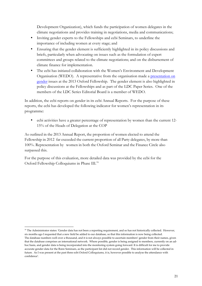Development Organization), which funds the participation of women delegates in the climate negotiations and provides training in negotiations, media and communications;

- Inviting gender experts to the Fellowships and ecbi Seminars, to underline the importance of including women at every stage; and
- Ensuring that the gender element is sufficiently highlighted in its policy discussions and briefs, particularly when advocating on issues such as the formulation of expert committees and groups related to the climate negotiations; and on the disbursement of climate finance for implementation.
- The ecbi has initiated collaboration with the Women's Environment and Development Organisation (WEDO). A representative from the organisation made a presentation on gender issues at the 2013 Oxford Fellowship. The gender element is also highlighted in policy discussions at the Fellowships and as part of the LDC Paper Series. One of the members of the LDC Series Editorial Board is a member of WEDO.

In addition, the ecbi reports on gender in its ecbi Annual Reports. For the purpose of these reports, the ecbi has developed the following indicator for women's representation in its programme:

• ecbi activities have a greater percentage of representation by women than the current 12- 15% of the Heads of Delegation at the COP

As outlined in the 2013 Annual Report, the proportion of women elected to attend the Fellowship in 2012 far exceeded the current proportion of all Party delegates, by more than 100%. Representation by women in both the Oxford Seminar and the Finance Circle also surpassed this.

For the purpose of this evaluation, more detailed data was provided by the ecbi for the Oxford Fellowship Colloquiums in Phase III.<sup>16</sup>

 $\overline{a}$ 

<sup>&</sup>lt;sup>16</sup> The Administrator states: 'Gender data has not been a reporting requirement, and so has not historically collected. However, six months ago I requested that a new field be added to our database, so that this information is now being collected. The database numbers well over a thousand, and it is not always possible to ascertain members' gender from their names, given that the database comprises an international network. Where possible, gender is being assigned to members, currently on an adhoc basis, and gender data is being incorporated into the monitoring system going forward. It is difficult for me to provide accurate gender data for the Bonn Seminars, as the participant list did not record gender. This information will be collected in future. As I was present at the past three ecbi Oxford Colloquiums, it is, however possible to analyse the attendance with confidence'.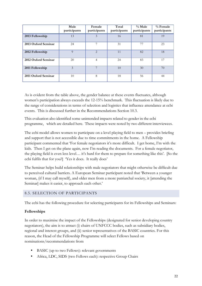|                     | Male<br>participants | Female<br>participants | Total<br>participants | $\%$ Male<br>participants | $%$ Female<br>participants |
|---------------------|----------------------|------------------------|-----------------------|---------------------------|----------------------------|
| 2013 Fellowship     | 13                   | 3                      | 16                    | 81                        | 19                         |
| 2013 Oxford Seminar | 24                   | 7                      | 31                    | 77                        | 23                         |
| 2012 Fellowship     | $\overline{Q}$       | $\overline{2}$         | 11                    | 82                        | 18                         |
| 2012 Oxford Seminar | 20                   | 4                      | 24                    | 83                        | 17                         |
| 2011 Fellowship     | 3                    | 7                      | 10                    | 30                        | 70                         |
| 2011 Oxford Seminar | 10                   | 8                      | 18                    | 56                        | 44                         |

As is evident from the table above, the gender balance at these events fluctuates, although women's participation always exceeds the 12-15% benchmark. This fluctuation is likely due to the range of considerations in terms of selection and logistics that influence attendance at ecbi events. This is discussed further in the Recommendations Section 10.3.

This evaluation also identified some unintended impacts related to gender in the ecbi programme, which are detailed here. These impacts were noted by two different interviewees.

The ecbi model allows women to participate on a level playing field to men – provides briefing and support that is not accessible due to time commitments in the home. A Fellowship participant commented that 'For female negotiators it's more difficult. I get home, I'm with the kids. Then I get on the plane again, now I'm reading the documents. For a female negotiator, the playing field is even less level… it's hard for them to prepare for something like this'. [So the ecbi fulfils that for you?] 'Yes it does. It really does'

The Seminar helps build relationships with male negotiators that might otherwise be difficult due to perceived cultural barriers. A European Seminar participant noted that 'Between a younger woman, (if I may call myself), and older men from a more patriarchal society, it [attending the Seminar] makes it easier, to approach each other.'

#### 8.5. SELECTION OF PARTICIPANTS

The ecbi has the following procedure for selecting participants for its Fellowships and Seminars:

#### **Fellowships**

In order to maximise the impact of the Fellowships (designated for senior developing country negotiators), the aim is to attract (i) chairs of UNFCCC bodies, such as subsidiary bodies, regional and interest groups, and (ii) senior representatives of the BASIC countries. For this reason, the Head of the Fellowship Programme will select Fellows based on nominations/recommendations from

- BASIC (up to two Fellows): relevant governments
- Africa, LDC, SIDS (two Fellows each): respective Group Chairs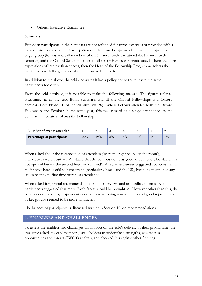• Others: Executive Committee

#### **Seminars**

European participants in the Seminars are not refunded for travel expenses or provided with a daily subsistence allowance. Participation can therefore be open-ended, within the specified target group (for instance, all members of the Finance Circle can attend the Finance Circle seminars, and the Oxford Seminar is open to all senior European negotiators). If there are more expressions of interest than spaces, then the Head of the Fellowship Programme selects the participants with the guidance of the Executive Committee.

In addition to the above, the ecbi also states it has a policy not to try to invite the same participants too often.

From the ecbi database, it is possible to make the following analysis. The figures refer to attendance at all the ecbi Bonn Seminars, and all the Oxford Fellowships and Oxford Seminars from Phase III of the initiative (*n*=126). Where Fellows attended both the Oxford Fellowship and Seminar in the same year, this was classed as a single attendance, as the Seminar immediately follows the Fellowship.

| Number of events attended  |     |     |    |    |    |       |    |
|----------------------------|-----|-----|----|----|----|-------|----|
| Percentage of participants | 70% | 19% | 5% | 5% | 0% | $1\%$ | 1% |
|                            |     |     |    |    |    |       |    |

When asked about the composition of attendees ('were the right people in the room'), interviewees were positive. All stated that the composition was good, except one who stated 'it's not optimal but it's the second best you can find'. A few interviewees suggested countries that it might have been useful to have attend (particularly Brazil and the US), but none mentioned any issues relating to first time or repeat attendance.

When asked for general recommendations in the interviews and on feedback forms, two participants suggested that more 'fresh faces' should be brought in. However other than this, the issue was not raised by respondents as a concern – having senior figures and good representation of key groups seemed to be more significant.

The balance of participants is discussed further in Section 10, on recommendations.

# **9. ENABLERS AND CHALLENGES**

To assess the enablers and challenges that impact on the ecbi's delivery of their programme, the evaluator asked key ecbi members/ stakeholders to undertake a strengths, weaknesses, opportunities and threats (SWOT) analysis, and checked this against other findings.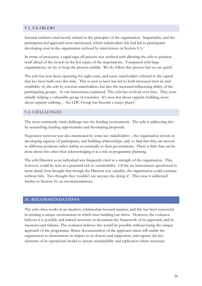#### 9.1. ENABLERS

Internal enablers cited mostly related to the principles of the organisation. Impartiality, and the participants-led approach were mentioned, which stakeholders felt had led to participants developing trust in the organisation (echoed by interviewees in Section 8.1).

In terms of processes, a rapid sign-off process was credited with allowing the ecbi to position itself ahead of the crowd on the hot topics of the negotiations. 'Compared with large organisations, we try to keep the process nimble. We do follow due process but we are quick'.

The ecbi has now been operating for eight years, and some stakeholders referred to the capital that has been built over this time. This is seen to have has led to both increased trust in, and credibility of, the ecbi by external stakeholders, but also the increased influencing ability of the participating groups. As one interviewee explained, 'The ecbi has evolved over time. They were initially helping a vulnerable group of countries. It's now less about capacity building, more about capacity utilising… the LDC Group has become a major player'.

#### 9.2. CHALLENGES

The most commonly cited challenge was the funding environment. The ecbi is addressing this by researching funding opportunities and developing proposals.

Negotiator turnover was also mentioned by some key stakeholders – the organisation invests in developing capacity of participants, and building relationships, only to find that they are moved to different positions either within or externally to their governments. There is little that can be done about this other than acknowledging it as a risk in programme planning.

The ecbi Director as an individual was frequently cited as a strength of the organisation. This, however, could be seen as a potential risk to sustainability. Of the six interviewees questioned in more detail, four thought that though the Director was valuable, the organisation could continue without him. Two thought they 'couldn't see anyone else doing it'. This issue is addressed further in Section 10, on recommendations.

#### **10. RECOMMENDATIONS**

The ecbi often works in an intuitive, relationship-focused manner, and this has been successful in creating a unique environment in which trust building can thrive. However, the evaluator believes it is possible and indeed necessary to document the framework of its approach, and its successes and failures. The evaluator believes this would be possible without losing the unique approach of the programme. Better documentation of the approach taken will enable the organisation to demonstrate its impact to its donors and supporters, and capture the key elements of its operational model to ensure sustainability and replication where necessary.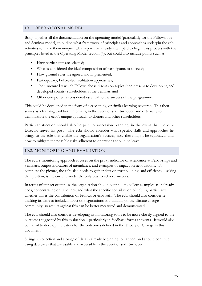#### 10.1. OPERATIONAL MODEL

Bring together all the documentation on the operating model (particularly for the Fellowships and Seminar model) to outline what framework of principles and approaches underpin the ecbi activities to make them unique. This report has already attempted to begin this process with the principles listed in the Operating Model section (4), but could also include points such as:

- How participants are selected;
- What is considered the ideal composition of participants to succeed;
- How ground rules are agreed and implemented;
- Participatory, Fellow-led facilitation approaches;
- The structure by which Fellows chose discussion topics then present to developing and developed country stakeholders at the Seminar; and
- Other components considered essential to the success of the programme.

This could be developed in the form of a case study, or similar learning resource. This then serves as a learning tool both internally, in the event of staff turnover, and externally to demonstrate the ecbi's unique approach to donors and other stakeholders.

Particular attention should also be paid to succession planning, in the event that the ecbi Director leaves his post. The ecbi should consider what specific skills and approaches he brings to the role that enable the organisation's success, how these might be replicated, and how to mitigate the possible risks adherent to operations should he leave.

#### 10.2. MONITORING AND EVALUATION

The ecbi's monitoring approach focuses on the proxy indicator of attendance at Fellowships and Seminars, output indicators of attendance, and examples of impact on negotiations. To complete the picture, the ecbi also needs to gather data on trust building, and efficiency – asking the question, is the current model the only way to achieve success.

In terms of impact examples, the organisation should continue to collect examples as it already does, concentrating on timelines, and what the specific contribution of ecbi is, particularly whether this is the contribution of Fellows or ecbi staff. The ecbi should also consider redrafting its aims to include impact on negotiations and thinking in the climate change community, so results against this can be better measured and demonstrated.

The ecbi should also consider developing its monitoring tools to be more closely aligned to the outcomes suggested by this evaluation – particularly in feedback forms at events. It would also be useful to develop indicators for the outcomes defined in the Theory of Change in this document.

Stringent collection and storage of data is already beginning to happen, and should continue, using databases that are usable and accessible in the event of staff turnover.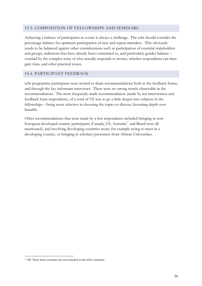#### 10.3. COMPOSITION OF FELLOWSHIPS AND SEMINARS

Achieving a balance of participants at events is always a challenge. The ecbi should consider the percentage balance for optimum participation of new and repeat attendees. This obviously needs to be balanced against other considerations such as participation of essential stakeholders and groups, indicators that have already been committed to, and particularly gender balance – overlaid by the complex issue of who actually responds to invites, whether respondents can then gain visas, and other practical issues.

#### 10.4. PARTICIPANT FEEDBACK

ecbi programme participants were invited to share recommendations both in the feedback forms, and through the key informant interviews. There were no strong trends observable in the recommendations. The most frequently made recommendation (made by ten interviewees and feedback form respondents, of a total of 53) was to go a little deeper into subjects in the fellowships – being more selective in choosing the topics to discuss, favouring depth over breadth.

Other recommendations that were made by a few respondents included bringing in non-European developed country participants (Canada, US, Australia<sup>17</sup> and Brazil were all mentioned), and involving developing countries more; for example trying to meet in a developing country, or bringing in scholars/presenters from African Universities.

<sup>&</sup>lt;sup>17</sup> NB. These three countries are not included in the ecbi's mandate.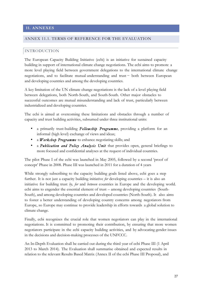#### **11. ANNEXES**

#### ANNEX 11.1. TERMS OF REFERENCE FOR THE EVALUATION

#### INTRODUCTION

The European Capacity Building Initiative (ecbi) is an initiative for sustained capacity building in support of international climate change negotiations. The ecbi aims to promote a more level playing field between government delegations to the international climate change negotiations, and to facilitate mutual understanding and trust − both between European and developing countries and among the developing countries.

A key limitation of the UN climate change negotiations is the lack of a level playing field between delegations, both North-South, and South-South. Other major obstacles to successful outcomes are mutual misunderstanding and lack of trust, particularly between industrialized and developing countries.

The ecbi is aimed at overcoming these limitations and obstacles through a number of capacity and trust building activities, subsumed under three institutional units:

- a primarily trust-building *Fellowship Programme*, providing a platform for an informal (high level) exchange of views and ideas;
- a *Workshop Programme* to enhance negotiating skills; and
- a *Publication and Policy Analysis Unit* that provides open, general briefings to more focused and confidential analyses at the request of individual countries.

The pilot Phase I of the ecbi was launched in May 2005, followed by a second 'proof of concept' Phase in 2008. Phase III was launched in 2011 for a duration of 4 years

While strongly subscribing to the capacity building goals listed above, ecbi goes a step further. It is not just a capacity building initiative *for* developing countries – it is also an initiative for building trust *by, for* and *between* countries in Europe and the developing world. ecbi aims to engender the essential element of trust – among developing countries (South-South), and among developing countries and developed countries (North-South). It also aims to foster a better understanding of developing country concerns among negotiators from Europe, so Europe may continue to provide leadership in efforts towards a global solution to climate change.

Finally, ecbi recognizes the crucial role that women negotiators can play in the international negotiations. It is committed to promoting their contribution, by ensuring that more women negotiators participate in the ecbi capacity building activities, and by advocating gender issues in the decisions and decision-making processes of the UNFCCC.

An In-Depth Evaluation shall be carried out during the third year of ecbi Phase III (1 April 2013 to March 2014). The Evaluation shall summarise obtained and expected results in relation to the relevant Results Based Matrix (Annex II of the ecbi Phase III Proposal), and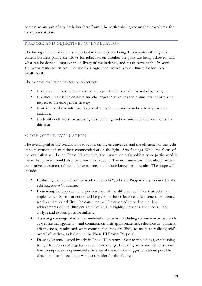contain an analysis of any deviation there from. The parties shall agree on the procedures for its implementation.

# PURPOSE AND OBJECTIVES OF EVALUATION

The timing of the evaluation is important in two respects. Being three-quarters through the current business plan cycle allows for reflection on whether the goals are being achieved and what can be done to improve the delivery of the initiative, and it can serve as the *In- depth Evaluation* mandated in Art. 7 of the Sida Agreement with Oxford Climate Policy (No. 5404015501).

The external evaluation has several objectives:

- to capture demonstrable results to date against ecbi's stated aims and objectives;
- to critically assess the enablers and challenges in achieving these aims, particularly with respect to the ecbi gender strategy;
- to utilize the above information to make recommendations on how to improve the initiative;
- to identify indicators for assessing trust building, and measure ecbi's achievements in this area

# SCOPE OF THE EVALUATION

The overall goal of the evaluation is to report on the effectiveness and the efficiency of the ecbi implementation and to make recommendations in the light of its findings. While the focus of the evaluation will be on Phase III activities, the impact on stakeholders who participated in the earlier phases should also be taken into account. The evaluation can thus also provide a cumulative assessment of the initiative to date, and include longer-term results. The scope will include:

- Evaluating the revised plan of work of the ecbi Workshop Programme proposed by the ecbi Executive Committee.
- Examining the approach and performance of the different activities that ecbi has implemented. Special attention will be given to their relevance, effectiveness, efficiency, results and sustainability. The consultant will be expected to outline the key achievements of the different activities and to highlight reasons for success, and analyze and explain possible failings.
- Assessing the range of activities undertaken by ecbi including common activities such as website management -- and comment on their appropriateness, relevance to partners, effectiveness, results and what contribution they are likely to make to realizing ecbi's overall objectives, as laid out in the Phase III Project Proposal.
- Drawing lessons learned by ecbi in Phase III in terms of capacity buildings, establishing trust, effectiveness of negotiators at climate change. Providing recommendations about how to improve the operational efficiency of the ecbi and suggestions about possible directions that the ecbi may want to consider for the future.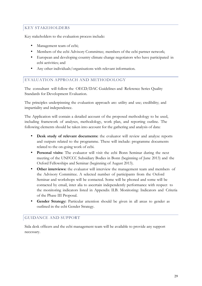# KEY STAKEHOLDERS

Key stakeholders to the evaluation process include:

- Management team of ecbi;
- Members of the ecbi Advisory Committee; members of the ecbi partner network;
- European and developing country climate change negotiators who have participated in ecbi activities; and
- Any other individuals/organisations with relevant information.

#### EVALUATION APPROACH AND METHODOLOGY

The consultant will follow the OECD/DAC Guidelines and Reference Series Quality Standards for Development Evaluation.

The principles underpinning the evaluation approach are: utility and use; credibility; and impartiality and independence.

The Application will contain a detailed account of the proposed methodology to be used, including framework of analyses, methodology, work plan, and reporting outline. The following elements should be taken into account for the gathering and analysis of data:

- **Desk study of relevant documents:** the evaluator will review and analyze reports and outputs related to the programme. These will include: programme documents related to the on-going work of ecbi.
- **Personal visits:** The evaluator will visit the ecbi Bonn Seminar during the next meeting of the UNFCCC Subsidiary Bodies in Bonn (beginning of June 2013) and the Oxford Fellowships and Seminar (beginning of August 2013).
- **Other interviews:** the evaluator will interview the management team and members of the Advisory Committee. A selected number of participants from the Oxford Seminar and workshops will be contacted. Some will be phoned and some will be contacted by email, inter alia to ascertain independently performance with respect to the monitoring indicators listed in Appendix II.B. Monitoring: Indicators and Criteria of the Phase III Proposal.
- **Gender Strategy:** Particular attention should be given in all areas to gender as outlined in the ecbi Gender Strategy.

#### GUIDANCE AND SUPPORT

Sida desk officers and the ecbi management team will be available to provide any support necessary.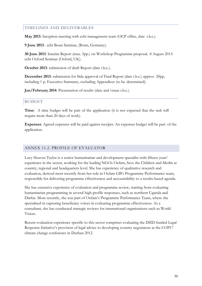## TIMELINES AND DELIVERABLES

**May 2013**: Inception meeting with ecbi management team (OCP office, date t.b.c.).

**9 June 2013**: ecbi Bonn Seminar, (Bonn, Germany).

**30 June 2013**: Interim Report (max. 5pp.) on Workshop Programme proposal. 8 August 2013: ecbi Oxford Seminar (Oxford, UK).

**October 2013**: submission of draft Report (date t.b.c.).

**December 2013**: submission for Sida approval of Final Report (date t.b.c.) approx 20pp, including 1 p. Executive Summary, excluding Appendices (to be determined).

**Jan/February 2014**: Presentation of results (date and venue t.b.c.).

## BUDGET

**Time**: A time budget will be part of the application (it is not expected that the task will require more than 20 days of work).

**Expenses**: Agreed expenses will be paid against receipts. An expenses budget will be part of the application.

#### ANNEX 11.2. PROFILE OF EVALUATOR

Lucy Heaven Taylor is a senior humanitarian and development specialist with fifteen years' experience in the sector, working for the leading NGOs Oxfam, Save the Children and Merlin at country, regional and headquarters level. She has experience of qualitative research and evaluation, derived most recently from her role in Oxfam GB's Programme Performance team, responsible for delivering programme effectiveness and accountability to a results-based agenda.

She has extensive experience of evaluation and programme review, starting from evaluating humanitarian programming in several high-profile responses, such as northern Uganda and Darfur. More recently, she was part of Oxfam's Programme Performance Team, where she specialised in capturing beneficiary voices in evaluating programme effectiveness. As a consultant, she has conducted strategic reviews for international organisations such as World Vision.

Recent evaluation experience specific to this sector comprises evaluating the DfID-funded Legal Response Initiative's provision of legal advice to developing country negotiators at the COP17 climate change conference in Durban 2012.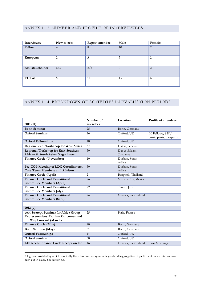#### ANNEX 11.3. NUMBER AND PROFILE OF INTERVIEWEES

| Interviewee      | New to ecbi    | Repeat attendee | Male           | Female |
|------------------|----------------|-----------------|----------------|--------|
| Fellow           | $\overline{4}$ | 8               | 10             | 2      |
| European         | 2              | 3               | 3              | 2      |
| ecbi stakeholder | n/a            | n/a             | $\overline{2}$ | 2      |
| <b>TOTAL</b>     | 6              | 11              | 15             | -6     |

# ANNEX 11.4. BREAKDOWN OF ACTIVITIES IN EVALUATION PERIOD**<sup>18</sup>**

|                                             | Number of | Location            | Profile of attendees    |
|---------------------------------------------|-----------|---------------------|-------------------------|
| 2011 (11)                                   | attendees |                     |                         |
| <b>Bonn Seminar</b>                         | 25        | Bonn, Germany       |                         |
| Oxford Seminar                              | 26        | Oxford, UK          | 10 Fellows, 8 EU        |
|                                             |           |                     | participants, 8 experts |
| <b>Oxford Fellowships</b>                   | 10        | Oxford, UK          |                         |
| Regional ecbi Workshop for West Africa      | 37        | Dakar, Senegal      |                         |
| Regional Workshop for East-Southern         | 30        | Dar es Salaam,      |                         |
| African & South Asian Negotiators           |           | Tanzania            |                         |
| <b>Finance Circle (November)</b>            | 10        | Durban, South       |                         |
|                                             |           | Africa              |                         |
| Pre-COP Meeting of LDC Coordinators,        | 30        | Durban, South       |                         |
| <b>Core Team Members and Advisors</b>       |           | Africa              |                         |
| Finance Circle (April)                      | 21        | Bangkok, Thailand   |                         |
| <b>Finance Circle and Transitional</b>      | 26        | Mexico City, Mexico |                         |
| <b>Committee Members (April)</b>            |           |                     |                         |
| <b>Finance Circle and Transitional</b>      | 22        | Tokyo, Japan        |                         |
| <b>Committee Members July)</b>              |           |                     |                         |
| <b>Finance Circle and Transitional</b>      | 24        | Geneva, Switzerland |                         |
| <b>Committee Members (Sept)</b>             |           |                     |                         |
|                                             |           |                     |                         |
| 2012(7)                                     |           |                     |                         |
| ecbi Strategy Seminar for Africa Group      | 25        | Paris, France       |                         |
| <b>Representatives: Durban Outcomes and</b> |           |                     |                         |
| the Way Forward (March)                     |           |                     |                         |
| Finance Circle (May)                        | 20        | Bonn, Germany       |                         |
| Bonn Seminar (May)                          | 31        | Bonn, Germany       |                         |
| <b>Oxford Fellowships</b>                   | 14        | Oxford, UK          |                         |
| <b>Oxford Seminar</b>                       | 30        | Oxford, UK          |                         |
| LDC/ecbi Finance Circle Reception for       | 16        | Geneva, Switzerland | Two Meetings            |

<sup>&</sup>lt;sup>18</sup> Figures provided by ecbi. Historically there has been no systematic gender disaggregation of participant data – this has now been put in place. See section 8.5.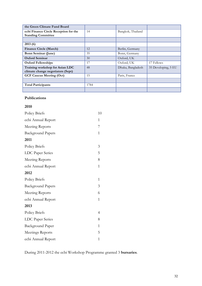| the Green Climate Fund Board          |      |                   |                     |
|---------------------------------------|------|-------------------|---------------------|
| ecbi Finance Circle Reception for the | 14   | Bangkok, Thailand |                     |
| <b>Standing Committee</b>             |      |                   |                     |
|                                       |      |                   |                     |
| 2013(6)                               |      |                   |                     |
| <b>Finance Circle (March)</b>         | 12   | Berlin, Germany   |                     |
| <b>Bonn Seminar (June)</b>            | 35   | Bonn, Germany     |                     |
| <b>Oxford Seminar</b>                 | 30   | Oxford, UK        |                     |
| <b>Oxford Fellowships</b>             | 17   | Oxford, UK        | 17 Fellows          |
| Training workshop for Asian LDC       | 48   | Dhaka, Bangladesh | 35 Developing, 5 EU |
| climate change negotiators (Sept)     |      |                   |                     |
| <b>GCF Caucus Meeting (Oct)</b>       | 15   | Paris, France     |                     |
|                                       |      |                   |                     |
| <b>Total Participants</b>             | 1784 |                   |                     |
|                                       |      |                   |                     |

## **Publications**

## **2010**

| Policy Briefs            | 10           |
|--------------------------|--------------|
| ecbi Annual Report       | 1            |
| <b>Meeting Reports</b>   | 7            |
| <b>Background Papers</b> | 1            |
| 2011                     |              |
| Policy Briefs            | 3            |
| LDC Paper Series         | 5            |
| <b>Meeting Reports</b>   | 8            |
| ecbi Annual Report       | $\mathbf 1$  |
| 2012                     |              |
| Policy Briefs            | 1            |
| <b>Background Papers</b> | 3            |
| <b>Meeting Reports</b>   | 6            |
| ecbi Annual Report       | 1            |
| 2013                     |              |
| <b>Policy Briefs</b>     | 4            |
| LDC Paper Series         | 8            |
| <b>Background Paper</b>  | $\mathbf{1}$ |
| Meetings Reports         | 5            |
| ecbi Annual Report       | 1            |

During 2011-2012 the ecbi Workshop Programme granted 3 **bursaries**.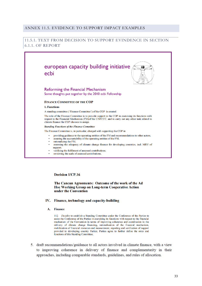#### ANNEX 11.5. EVIDENCE TO SUPPORT IMPACT EXAMPLES

#### 11.5.1. TEXT FROM DECISION TO SUPPORT EVINDENCE IN SECTION 6.1.1. OF REPORT



#### **Decision 1/CP.16**

#### The Cancun Agreements: Outcome of the work of the Ad Hoc Working Group on Long-term Cooperative Action under the Convention

#### IV. Finance, technology and capacity-building

#### **Finance**  $A_{-}$

112. Decides to establish a Standing Committee under the Conference of the Parties to assist the Conference of the Parties in exercising its functions with respect to the financial mechanism of the Convention in terms of improving coherence and coordination in the delivery of climate change financing, rationalization of the financial mechanism, mobilization of financial resources and measurement, reporting and verification of support provided to developing country Parties; Parties agree to further define the roles and functions of this Standing Committee;

5. draft recommendations/guidance to all actors involved in climate finance, with a view to improving coherence in delivery of finance and complementarity in their approaches, including comparable standards, guidelines, and rules of allocation.